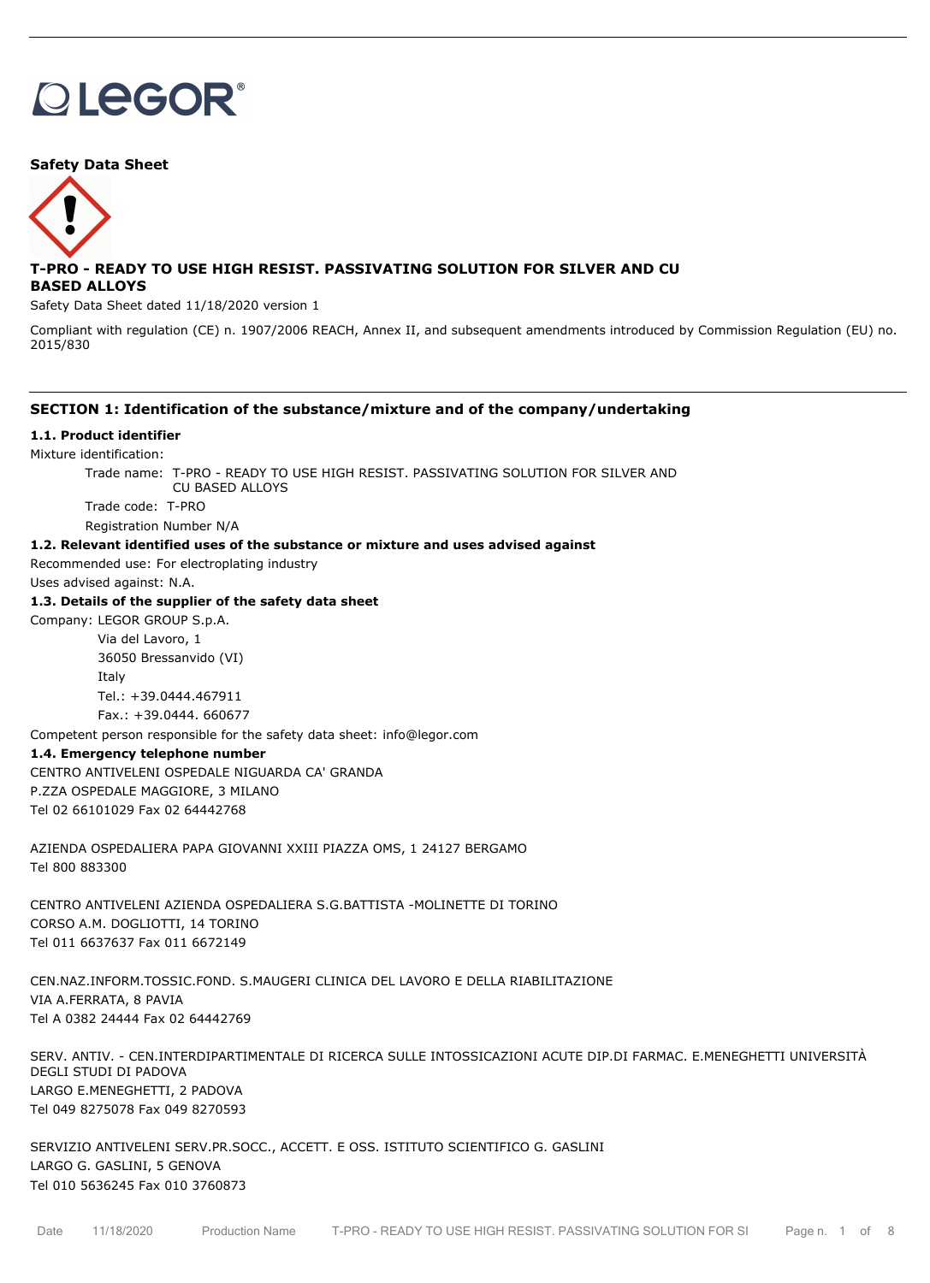# **OLEGOR®**

#### **Safety Data Sheet**



# **T-PRO - READY TO USE HIGH RESIST. PASSIVATING SOLUTION FOR SILVER AND CU BASED ALLOYS**

Safety Data Sheet dated 11/18/2020 version 1

Compliant with regulation (CE) n. 1907/2006 REACH, Annex II, and subsequent amendments introduced by Commission Regulation (EU) no. 2015/830

## **SECTION 1: Identification of the substance/mixture and of the company/undertaking**

#### **1.1. Product identifier**

Mixture identification:

Trade name: T-PRO - READY TO USE HIGH RESIST. PASSIVATING SOLUTION FOR SILVER AND CU BASED ALLOYS

Trade code: T-PRO

Registration Number N/A

# **1.2. Relevant identified uses of the substance or mixture and uses advised against**

Recommended use: For electroplating industry

Uses advised against: N.A.

#### **1.3. Details of the supplier of the safety data sheet**

Company: LEGOR GROUP S.p.A.

Via del Lavoro, 1 36050 Bressanvido (VI) Italy Tel.: +39.0444.467911 Fax.: +39.0444. 660677

Competent person responsible for the safety data sheet: info@legor.com

#### **1.4. Emergency telephone number**

CENTRO ANTIVELENI OSPEDALE NIGUARDA CA' GRANDA P.ZZA OSPEDALE MAGGIORE, 3 MILANO Tel 02 66101029 Fax 02 64442768

AZIENDA OSPEDALIERA PAPA GIOVANNI XXIII PIAZZA OMS, 1 24127 BERGAMO Tel 800 883300

CENTRO ANTIVELENI AZIENDA OSPEDALIERA S.G.BATTISTA -MOLINETTE DI TORINO CORSO A.M. DOGLIOTTI, 14 TORINO Tel 011 6637637 Fax 011 6672149

CEN.NAZ.INFORM.TOSSIC.FOND. S.MAUGERI CLINICA DEL LAVORO E DELLA RIABILITAZIONE VIA A.FERRATA, 8 PAVIA Tel A 0382 24444 Fax 02 64442769

SERV. ANTIV. - CEN.INTERDIPARTIMENTALE DI RICERCA SULLE INTOSSICAZIONI ACUTE DIP.DI FARMAC. E.MENEGHETTI UNIVERSITÀ DEGLI STUDI DI PADOVA LARGO E.MENEGHETTI, 2 PADOVA Tel 049 8275078 Fax 049 8270593

SERVIZIO ANTIVELENI SERV.PR.SOCC., ACCETT. E OSS. ISTITUTO SCIENTIFICO G. GASLINI LARGO G. GASLINI, 5 GENOVA Tel 010 5636245 Fax 010 3760873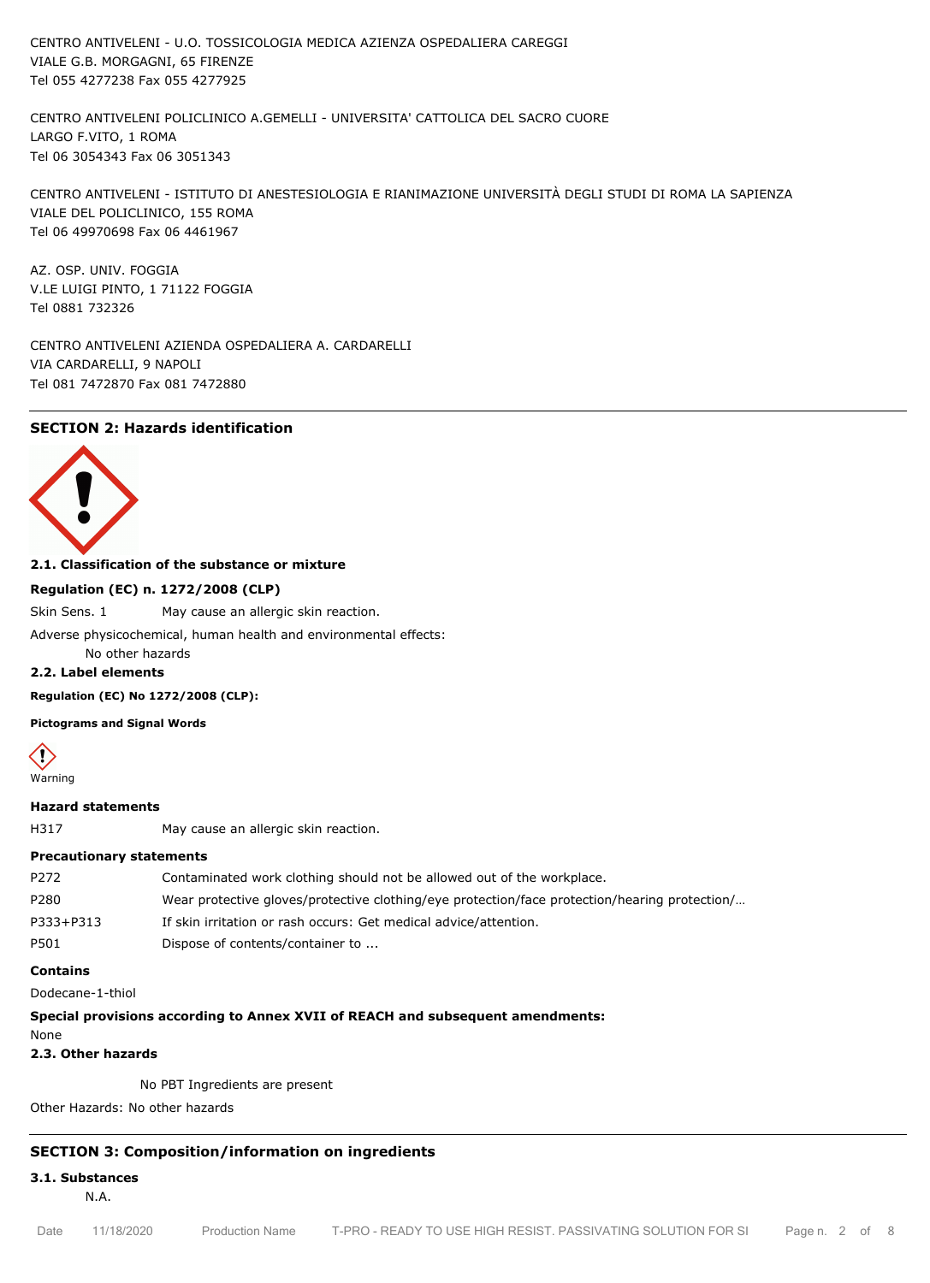CENTRO ANTIVELENI - U.O. TOSSICOLOGIA MEDICA AZIENZA OSPEDALIERA CAREGGI VIALE G.B. MORGAGNI, 65 FIRENZE Tel 055 4277238 Fax 055 4277925

CENTRO ANTIVELENI POLICLINICO A.GEMELLI - UNIVERSITA' CATTOLICA DEL SACRO CUORE LARGO F.VITO, 1 ROMA Tel 06 3054343 Fax 06 3051343

CENTRO ANTIVELENI - ISTITUTO DI ANESTESIOLOGIA E RIANIMAZIONE UNIVERSITÀ DEGLI STUDI DI ROMA LA SAPIENZA VIALE DEL POLICLINICO, 155 ROMA Tel 06 49970698 Fax 06 4461967

AZ. OSP. UNIV. FOGGIA V.LE LUIGI PINTO, 1 71122 FOGGIA Tel 0881 732326

CENTRO ANTIVELENI AZIENDA OSPEDALIERA A. CARDARELLI VIA CARDARELLI, 9 NAPOLI Tel 081 7472870 Fax 081 7472880

# **SECTION 2: Hazards identification**



#### **2.1. Classification of the substance or mixture**

#### **Regulation (EC) n. 1272/2008 (CLP)**

Skin Sens. 1 May cause an allergic skin reaction.

Adverse physicochemical, human health and environmental effects:

No other hazards

#### **2.2. Label elements**

**Regulation (EC) No 1272/2008 (CLP):**

**Pictograms and Signal Words**

Warning

#### **Hazard statements**

H317 May cause an allergic skin reaction.

#### **Precautionary statements**

| P272      | Contaminated work clothing should not be allowed out of the workplace.                        |
|-----------|-----------------------------------------------------------------------------------------------|
| P280      | Wear protective gloves/protective clothing/eye protection/face protection/hearing protection/ |
| P333+P313 | If skin irritation or rash occurs: Get medical advice/attention.                              |
| P501      | Dispose of contents/container to                                                              |

#### **Contains**

Dodecane-1-thiol

#### **Special provisions according to Annex XVII of REACH and subsequent amendments:**

None

```
2.3. Other hazards
```
No PBT Ingredients are present

Other Hazards: No other hazards

# **SECTION 3: Composition/information on ingredients**

**3.1. Substances**

N.A.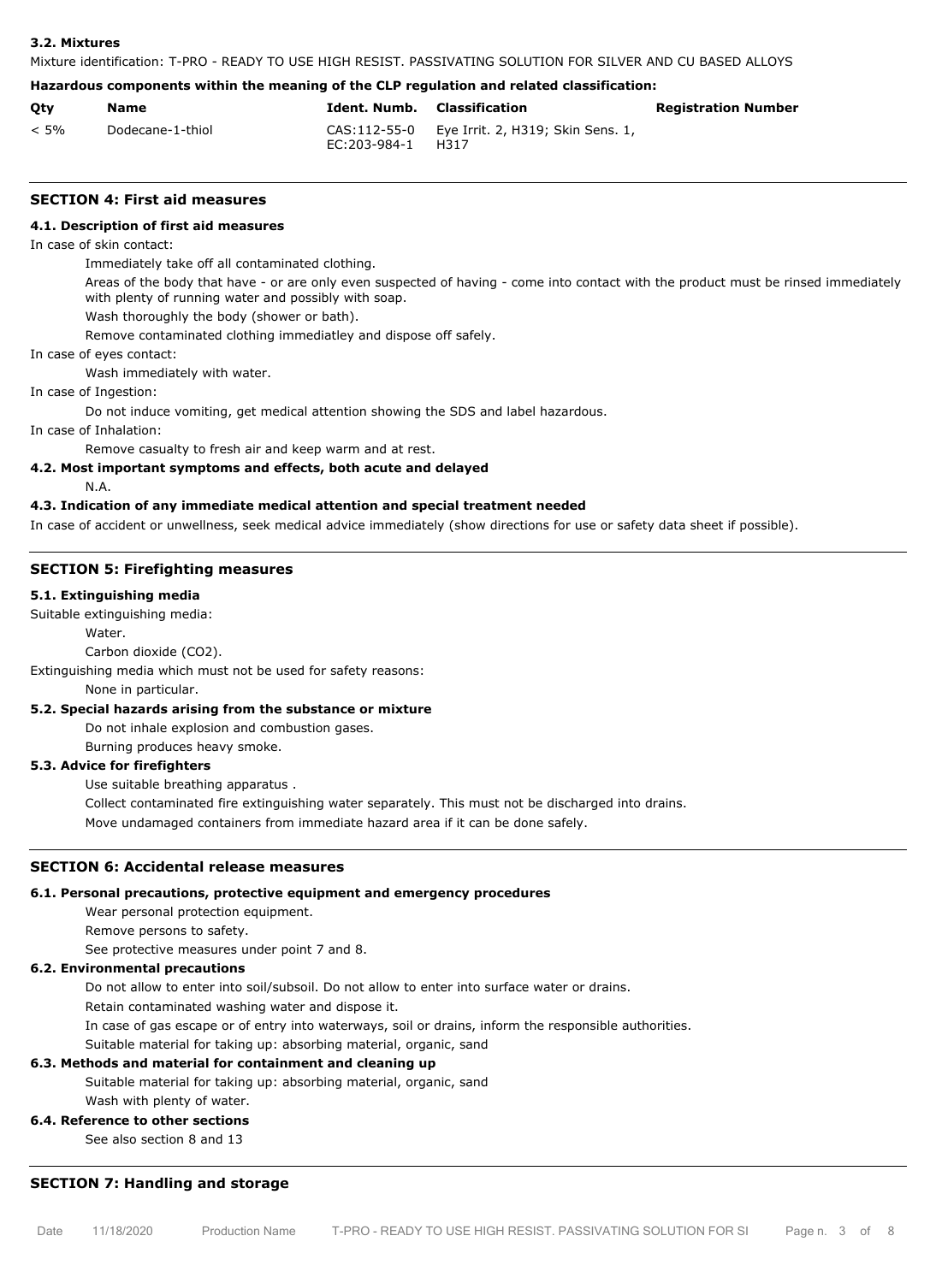#### **3.2. Mixtures**

Mixture identification: T-PRO - READY TO USE HIGH RESIST. PASSIVATING SOLUTION FOR SILVER AND CU BASED ALLOYS

#### **Hazardous components within the meaning of the CLP regulation and related classification:**

| Qty     | Name             | <b>Ident. Numb.</b> Classification |                                                         | <b>Registration Number</b> |
|---------|------------------|------------------------------------|---------------------------------------------------------|----------------------------|
| $< 5\%$ | Dodecane-1-thiol | EC:203-984-1                       | CAS: 112-55-0 Eye Irrit. 2, H319; Skin Sens. 1,<br>H317 |                            |

#### **SECTION 4: First aid measures**

#### **4.1. Description of first aid measures**

In case of skin contact:

Immediately take off all contaminated clothing.

Areas of the body that have - or are only even suspected of having - come into contact with the product must be rinsed immediately with plenty of running water and possibly with soap.

Wash thoroughly the body (shower or bath).

Remove contaminated clothing immediatley and dispose off safely.

In case of eyes contact:

Wash immediately with water.

In case of Ingestion:

Do not induce vomiting, get medical attention showing the SDS and label hazardous.

In case of Inhalation:

Remove casualty to fresh air and keep warm and at rest.

# **4.2. Most important symptoms and effects, both acute and delayed**

N.A.

# **4.3. Indication of any immediate medical attention and special treatment needed**

In case of accident or unwellness, seek medical advice immediately (show directions for use or safety data sheet if possible).

#### **SECTION 5: Firefighting measures**

#### **5.1. Extinguishing media**

Suitable extinguishing media:

#### Water.

Carbon dioxide (CO2).

Extinguishing media which must not be used for safety reasons:

None in particular.

#### **5.2. Special hazards arising from the substance or mixture**

Do not inhale explosion and combustion gases.

Burning produces heavy smoke.

#### **5.3. Advice for firefighters**

Use suitable breathing apparatus .

Collect contaminated fire extinguishing water separately. This must not be discharged into drains.

Move undamaged containers from immediate hazard area if it can be done safely.

#### **SECTION 6: Accidental release measures**

#### **6.1. Personal precautions, protective equipment and emergency procedures**

Wear personal protection equipment.

Remove persons to safety.

See protective measures under point 7 and 8.

# **6.2. Environmental precautions**

Do not allow to enter into soil/subsoil. Do not allow to enter into surface water or drains.

Retain contaminated washing water and dispose it.

In case of gas escape or of entry into waterways, soil or drains, inform the responsible authorities.

Suitable material for taking up: absorbing material, organic, sand

#### **6.3. Methods and material for containment and cleaning up**

Suitable material for taking up: absorbing material, organic, sand Wash with plenty of water.

# **6.4. Reference to other sections**

See also section 8 and 13

# **SECTION 7: Handling and storage**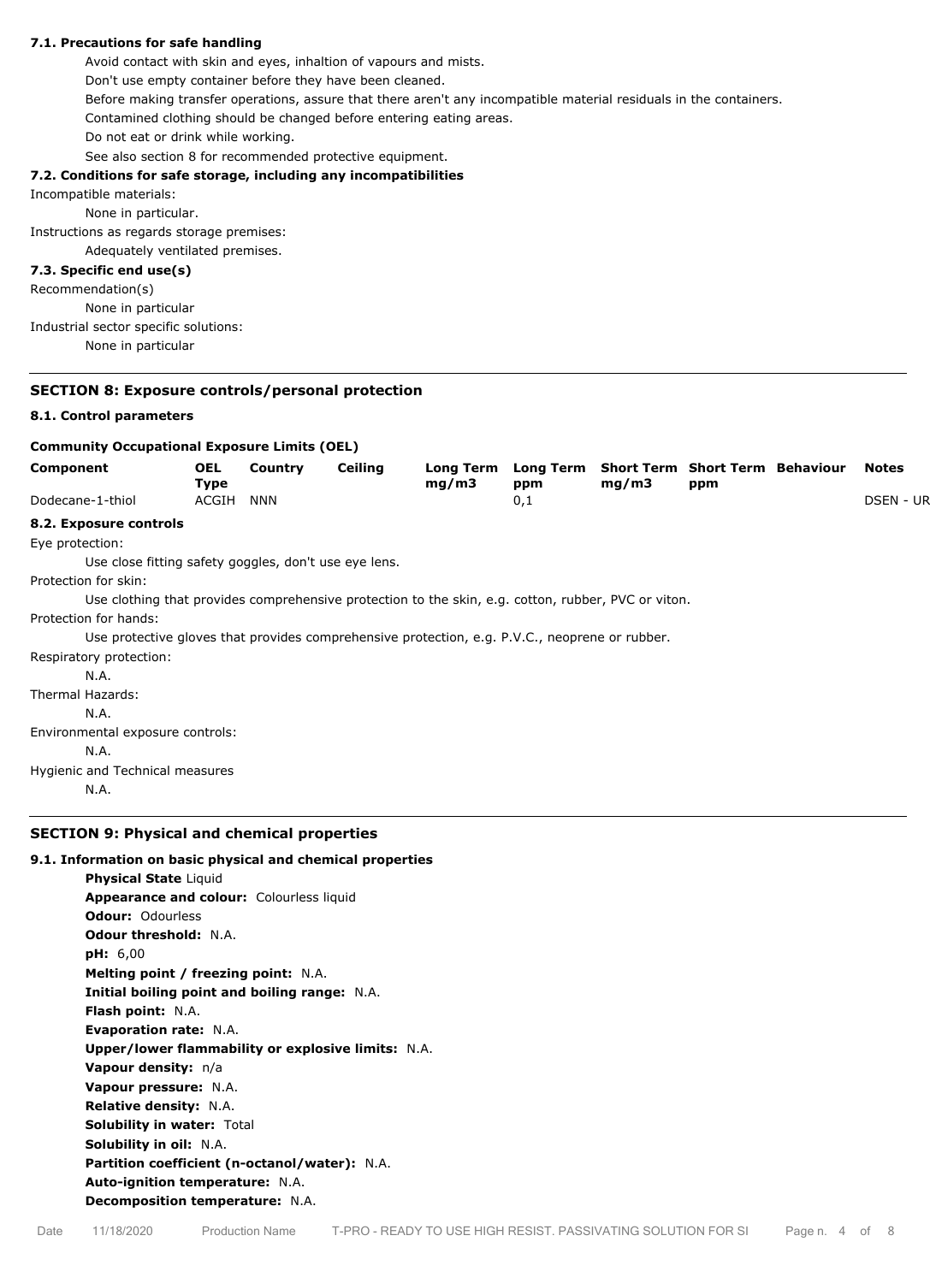#### **7.1. Precautions for safe handling**

Avoid contact with skin and eyes, inhaltion of vapours and mists. Don't use empty container before they have been cleaned. Before making transfer operations, assure that there aren't any incompatible material residuals in the containers. Contamined clothing should be changed before entering eating areas. Do not eat or drink while working. See also section 8 for recommended protective equipment.

#### **7.2. Conditions for safe storage, including any incompatibilities**

Incompatible materials:

None in particular.

Instructions as regards storage premises:

Adequately ventilated premises.

# **7.3. Specific end use(s)**

Recommendation(s) None in particular Industrial sector specific solutions: None in particular

# **SECTION 8: Exposure controls/personal protection**

#### **8.1. Control parameters**

| <b>Community Occupational Exposure Limits (OEL)</b>   |                    |         |                |                                                                                                     |                         |       |                                               |                  |
|-------------------------------------------------------|--------------------|---------|----------------|-----------------------------------------------------------------------------------------------------|-------------------------|-------|-----------------------------------------------|------------------|
| Component                                             | <b>OEL</b><br>Type | Country | <b>Ceiling</b> | <b>Long Term</b><br>mg/m3                                                                           | <b>Long Term</b><br>ppm | mg/m3 | <b>Short Term Short Term Behaviour</b><br>ppm | <b>Notes</b>     |
| Dodecane-1-thiol                                      | ACGIH              | NNN     |                |                                                                                                     | 0,1                     |       |                                               | <b>DSEN - UR</b> |
| 8.2. Exposure controls                                |                    |         |                |                                                                                                     |                         |       |                                               |                  |
| Eye protection:                                       |                    |         |                |                                                                                                     |                         |       |                                               |                  |
| Use close fitting safety goggles, don't use eye lens. |                    |         |                |                                                                                                     |                         |       |                                               |                  |
| Protection for skin:                                  |                    |         |                |                                                                                                     |                         |       |                                               |                  |
|                                                       |                    |         |                | Use clothing that provides comprehensive protection to the skin, e.g. cotton, rubber, PVC or viton. |                         |       |                                               |                  |
| Protection for hands:                                 |                    |         |                |                                                                                                     |                         |       |                                               |                  |
|                                                       |                    |         |                | Use protective gloves that provides comprehensive protection, e.g. P.V.C., neoprene or rubber.      |                         |       |                                               |                  |
| Respiratory protection:                               |                    |         |                |                                                                                                     |                         |       |                                               |                  |
| N.A.                                                  |                    |         |                |                                                                                                     |                         |       |                                               |                  |
| Thermal Hazards:                                      |                    |         |                |                                                                                                     |                         |       |                                               |                  |
| N.A.                                                  |                    |         |                |                                                                                                     |                         |       |                                               |                  |
| Environmental exposure controls:                      |                    |         |                |                                                                                                     |                         |       |                                               |                  |
| N.A.                                                  |                    |         |                |                                                                                                     |                         |       |                                               |                  |
| Hygienic and Technical measures                       |                    |         |                |                                                                                                     |                         |       |                                               |                  |
|                                                       |                    |         |                |                                                                                                     |                         |       |                                               |                  |

# **SECTION 9: Physical and chemical properties**

#### **9.1. Information on basic physical and chemical properties**

**Physical State** Liquid **Appearance and colour:** Colourless liquid **Odour:** Odourless **Odour threshold:** N.A. **pH:** 6,00 **Melting point / freezing point:** N.A. **Initial boiling point and boiling range:** N.A. **Flash point:** N.A. **Evaporation rate:** N.A. **Upper/lower flammability or explosive limits:** N.A. **Vapour density:** n/a **Vapour pressure:** N.A. **Relative density:** N.A. **Solubility in water:** Total **Solubility in oil:** N.A. **Partition coefficient (n-octanol/water):** N.A. **Auto-ignition temperature:** N.A. **Decomposition temperature:** N.A.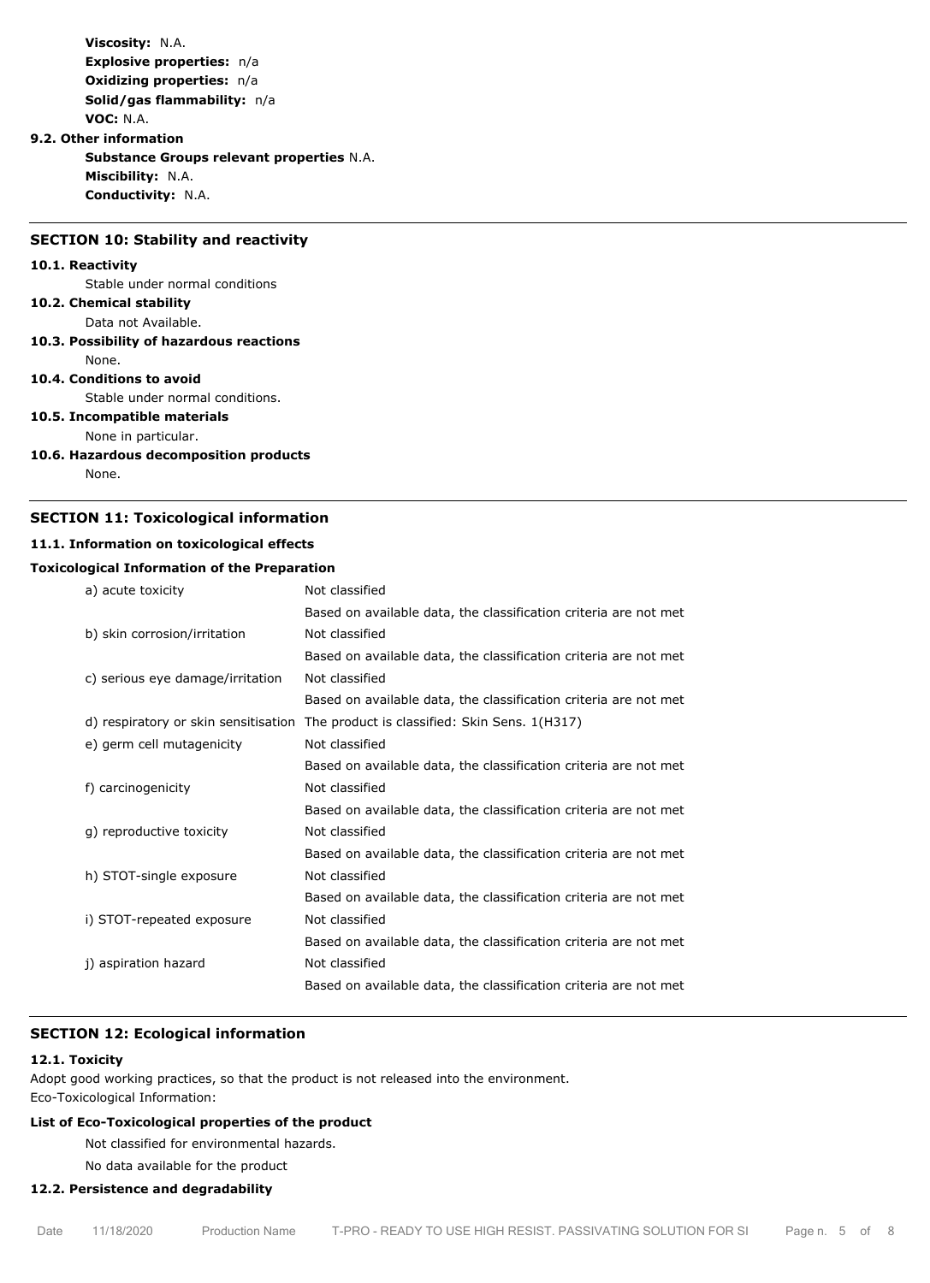**Viscosity:** N.A. **Explosive properties:** n/a **Oxidizing properties:** n/a **Solid/gas flammability:** n/a **VOC:** N.A.

#### **9.2. Other information**

**Substance Groups relevant properties** N.A. **Miscibility:** N.A. **Conductivity:** N.A.

#### **SECTION 10: Stability and reactivity**

#### **10.1. Reactivity**

Stable under normal conditions

#### **10.2. Chemical stability**

Data not Available.

#### **10.3. Possibility of hazardous reactions**

None.

#### **10.4. Conditions to avoid**

Stable under normal conditions.

# **10.5. Incompatible materials**

None in particular.

#### **10.6. Hazardous decomposition products**

None.

# **SECTION 11: Toxicological information**

#### **11.1. Information on toxicological effects**

#### **Toxicological Information of the Preparation**

| a) acute toxicity                    | Not classified                                                   |
|--------------------------------------|------------------------------------------------------------------|
|                                      | Based on available data, the classification criteria are not met |
| b) skin corrosion/irritation         | Not classified                                                   |
|                                      | Based on available data, the classification criteria are not met |
| c) serious eye damage/irritation     | Not classified                                                   |
|                                      | Based on available data, the classification criteria are not met |
| d) respiratory or skin sensitisation | The product is classified: Skin Sens. 1(H317)                    |
| e) germ cell mutagenicity            | Not classified                                                   |
|                                      | Based on available data, the classification criteria are not met |
| f) carcinogenicity                   | Not classified                                                   |
|                                      | Based on available data, the classification criteria are not met |
| g) reproductive toxicity             | Not classified                                                   |
|                                      | Based on available data, the classification criteria are not met |
| h) STOT-single exposure              | Not classified                                                   |
|                                      | Based on available data, the classification criteria are not met |
| i) STOT-repeated exposure            | Not classified                                                   |
|                                      | Based on available data, the classification criteria are not met |
| j) aspiration hazard                 | Not classified                                                   |
|                                      | Based on available data, the classification criteria are not met |

#### **SECTION 12: Ecological information**

#### **12.1. Toxicity**

Adopt good working practices, so that the product is not released into the environment. Eco-Toxicological Information:

### **List of Eco-Toxicological properties of the product**

Not classified for environmental hazards.

No data available for the product

#### **12.2. Persistence and degradability**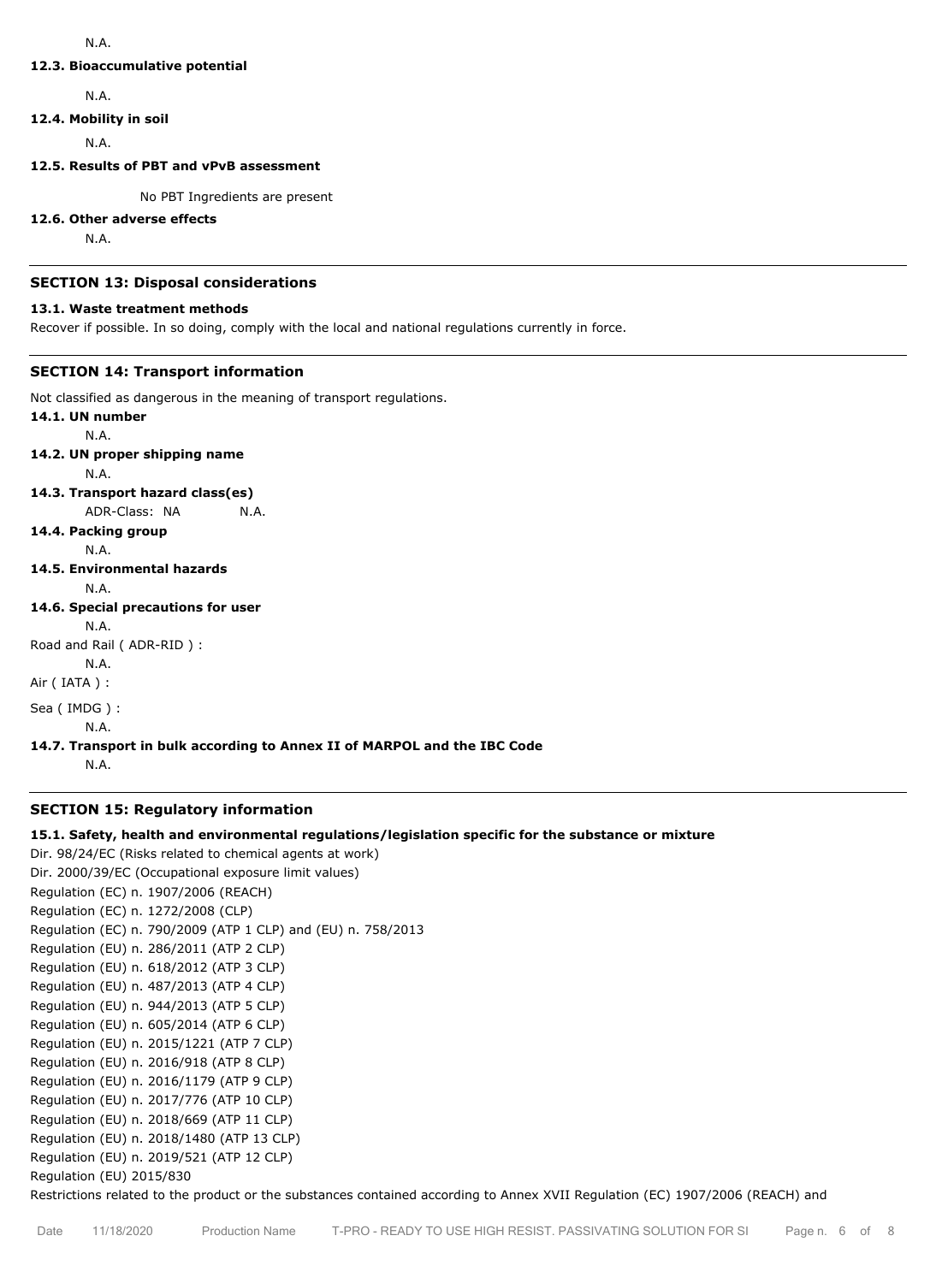## N.A.

#### **12.3. Bioaccumulative potential**

N.A.

# **12.4. Mobility in soil**

N.A.

# **12.5. Results of PBT and vPvB assessment**

No PBT Ingredients are present

# **12.6. Other adverse effects**

N.A.

# **SECTION 13: Disposal considerations**

# **13.1. Waste treatment methods**

Recover if possible. In so doing, comply with the local and national regulations currently in force.

# **SECTION 14: Transport information**

Not classified as dangerous in the meaning of transport regulations.

**14.1. UN number** N.A. **14.2. UN proper shipping name** N.A. **14.3. Transport hazard class(es)** ADR-Class: NA N.A. **14.4. Packing group** N.A. **14.5. Environmental hazards** N.A. **14.6. Special precautions for user** N.A. Road and Rail ( ADR-RID ) : N.A. Air ( IATA ) : Sea ( IMDG ) : N.A. **14.7. Transport in bulk according to Annex II of MARPOL and the IBC Code** N.A.

# **SECTION 15: Regulatory information**

### **15.1. Safety, health and environmental regulations/legislation specific for the substance or mixture**

Dir. 98/24/EC (Risks related to chemical agents at work) Dir. 2000/39/EC (Occupational exposure limit values) Regulation (EC) n. 1907/2006 (REACH) Regulation (EC) n. 1272/2008 (CLP) Regulation (EC) n. 790/2009 (ATP 1 CLP) and (EU) n. 758/2013 Regulation (EU) n. 286/2011 (ATP 2 CLP) Regulation (EU) n. 618/2012 (ATP 3 CLP) Regulation (EU) n. 487/2013 (ATP 4 CLP) Regulation (EU) n. 944/2013 (ATP 5 CLP) Regulation (EU) n. 605/2014 (ATP 6 CLP) Regulation (EU) n. 2015/1221 (ATP 7 CLP) Regulation (EU) n. 2016/918 (ATP 8 CLP) Regulation (EU) n. 2016/1179 (ATP 9 CLP) Regulation (EU) n. 2017/776 (ATP 10 CLP) Regulation (EU) n. 2018/669 (ATP 11 CLP) Regulation (EU) n. 2018/1480 (ATP 13 CLP) Regulation (EU) n. 2019/521 (ATP 12 CLP) Regulation (EU) 2015/830

Restrictions related to the product or the substances contained according to Annex XVII Regulation (EC) 1907/2006 (REACH) and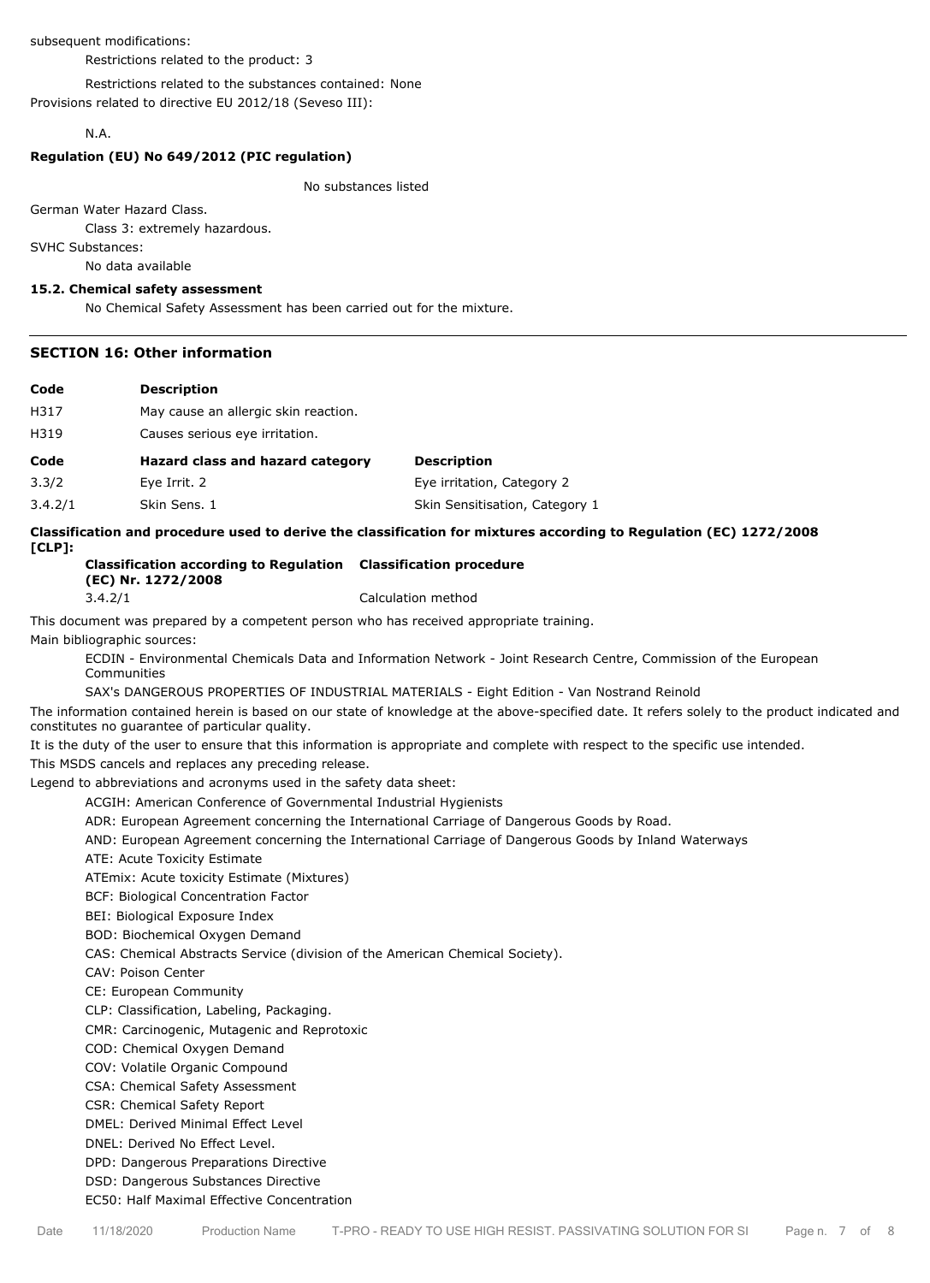subsequent modifications:

Restrictions related to the product: 3

Restrictions related to the substances contained: None Provisions related to directive EU 2012/18 (Seveso III):

#### N.A.

# **Regulation (EU) No 649/2012 (PIC regulation)**

No substances listed

German Water Hazard Class.

Class 3: extremely hazardous.

SVHC Substances:

No data available

# **15.2. Chemical safety assessment**

No Chemical Safety Assessment has been carried out for the mixture.

#### **SECTION 16: Other information**

| Code  | <b>Description</b>                   |                            |
|-------|--------------------------------------|----------------------------|
| H317  | May cause an allergic skin reaction. |                            |
| H319  | Causes serious eye irritation.       |                            |
|       |                                      |                            |
| Code  | Hazard class and hazard category     | <b>Description</b>         |
| 3.3/2 | Eye Irrit. 2                         | Eye irritation, Category 2 |

**Classification and procedure used to derive the classification for mixtures according to Regulation (EC) 1272/2008 [CLP]:**

**Classification according to Regulation Classification procedure (EC) Nr. 1272/2008** 3.4.2/1 Calculation method

This document was prepared by a competent person who has received appropriate training.

Main bibliographic sources:

ECDIN - Environmental Chemicals Data and Information Network - Joint Research Centre, Commission of the European Communities

SAX's DANGEROUS PROPERTIES OF INDUSTRIAL MATERIALS - Eight Edition - Van Nostrand Reinold

The information contained herein is based on our state of knowledge at the above-specified date. It refers solely to the product indicated and constitutes no guarantee of particular quality.

It is the duty of the user to ensure that this information is appropriate and complete with respect to the specific use intended.

This MSDS cancels and replaces any preceding release.

Legend to abbreviations and acronyms used in the safety data sheet:

ACGIH: American Conference of Governmental Industrial Hygienists

ADR: European Agreement concerning the International Carriage of Dangerous Goods by Road.

AND: European Agreement concerning the International Carriage of Dangerous Goods by Inland Waterways

ATE: Acute Toxicity Estimate

ATEmix: Acute toxicity Estimate (Mixtures)

BCF: Biological Concentration Factor

BEI: Biological Exposure Index

BOD: Biochemical Oxygen Demand

CAS: Chemical Abstracts Service (division of the American Chemical Society).

CAV: Poison Center

CE: European Community

CLP: Classification, Labeling, Packaging.

CMR: Carcinogenic, Mutagenic and Reprotoxic

COD: Chemical Oxygen Demand

COV: Volatile Organic Compound

CSA: Chemical Safety Assessment

CSR: Chemical Safety Report

DMEL: Derived Minimal Effect Level

DNEL: Derived No Effect Level.

DPD: Dangerous Preparations Directive

DSD: Dangerous Substances Directive

EC50: Half Maximal Effective Concentration